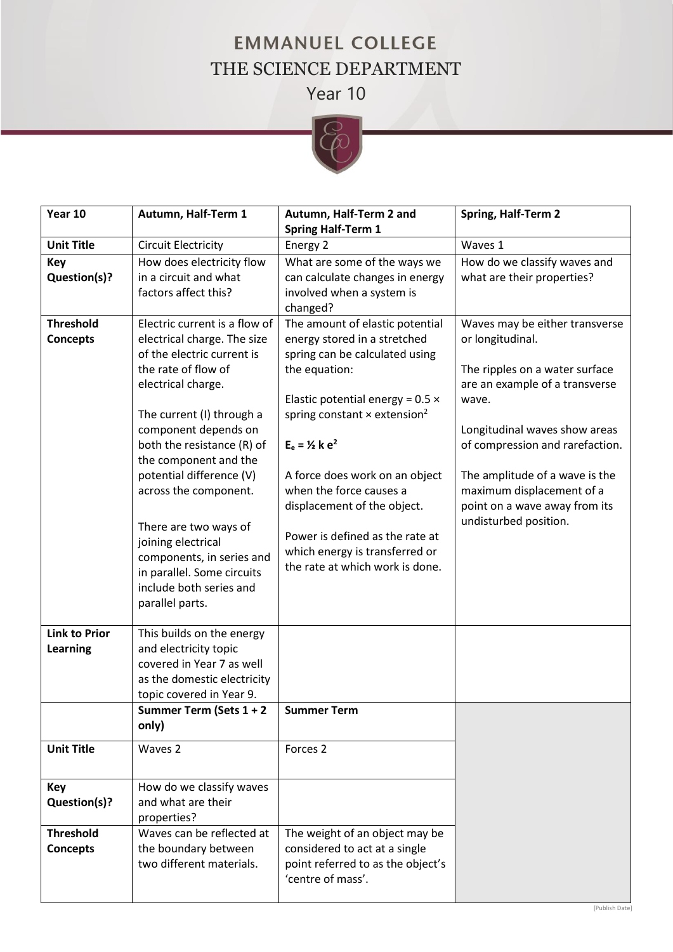## **EMMANUEL COLLEGE** THE SCIENCE DEPARTMENT Year 10



| Year 10                                 | Autumn, Half-Term 1                                                                                                                                                                                                                                                                                                                                                                                                                                              | Autumn, Half-Term 2 and                                                                                                                                                                                                                                                                                                                                                                                                                     | <b>Spring, Half-Term 2</b>                                                                                                                                                                                                                                                                                                   |
|-----------------------------------------|------------------------------------------------------------------------------------------------------------------------------------------------------------------------------------------------------------------------------------------------------------------------------------------------------------------------------------------------------------------------------------------------------------------------------------------------------------------|---------------------------------------------------------------------------------------------------------------------------------------------------------------------------------------------------------------------------------------------------------------------------------------------------------------------------------------------------------------------------------------------------------------------------------------------|------------------------------------------------------------------------------------------------------------------------------------------------------------------------------------------------------------------------------------------------------------------------------------------------------------------------------|
|                                         |                                                                                                                                                                                                                                                                                                                                                                                                                                                                  | <b>Spring Half-Term 1</b>                                                                                                                                                                                                                                                                                                                                                                                                                   |                                                                                                                                                                                                                                                                                                                              |
| <b>Unit Title</b>                       | <b>Circuit Electricity</b>                                                                                                                                                                                                                                                                                                                                                                                                                                       | Energy 2                                                                                                                                                                                                                                                                                                                                                                                                                                    | Waves 1                                                                                                                                                                                                                                                                                                                      |
| <b>Key</b><br>Question(s)?              | How does electricity flow<br>in a circuit and what<br>factors affect this?                                                                                                                                                                                                                                                                                                                                                                                       | What are some of the ways we<br>can calculate changes in energy<br>involved when a system is<br>changed?                                                                                                                                                                                                                                                                                                                                    | How do we classify waves and<br>what are their properties?                                                                                                                                                                                                                                                                   |
| <b>Threshold</b><br><b>Concepts</b>     | Electric current is a flow of<br>electrical charge. The size<br>of the electric current is<br>the rate of flow of<br>electrical charge.<br>The current (I) through a<br>component depends on<br>both the resistance (R) of<br>the component and the<br>potential difference (V)<br>across the component.<br>There are two ways of<br>joining electrical<br>components, in series and<br>in parallel. Some circuits<br>include both series and<br>parallel parts. | The amount of elastic potential<br>energy stored in a stretched<br>spring can be calculated using<br>the equation:<br>Elastic potential energy = $0.5 \times$<br>spring constant $\times$ extension <sup>2</sup><br>$E_e = 1/2$ k $e^2$<br>A force does work on an object<br>when the force causes a<br>displacement of the object.<br>Power is defined as the rate at<br>which energy is transferred or<br>the rate at which work is done. | Waves may be either transverse<br>or longitudinal.<br>The ripples on a water surface<br>are an example of a transverse<br>wave.<br>Longitudinal waves show areas<br>of compression and rarefaction.<br>The amplitude of a wave is the<br>maximum displacement of a<br>point on a wave away from its<br>undisturbed position. |
| <b>Link to Prior</b><br><b>Learning</b> | This builds on the energy<br>and electricity topic<br>covered in Year 7 as well<br>as the domestic electricity<br>topic covered in Year 9.<br>Summer Term (Sets 1 + 2<br>only)                                                                                                                                                                                                                                                                                   | <b>Summer Term</b>                                                                                                                                                                                                                                                                                                                                                                                                                          |                                                                                                                                                                                                                                                                                                                              |
| <b>Unit Title</b>                       | Waves <sub>2</sub>                                                                                                                                                                                                                                                                                                                                                                                                                                               | Forces <sub>2</sub>                                                                                                                                                                                                                                                                                                                                                                                                                         |                                                                                                                                                                                                                                                                                                                              |
| Key<br>Question(s)?                     | How do we classify waves<br>and what are their<br>properties?                                                                                                                                                                                                                                                                                                                                                                                                    |                                                                                                                                                                                                                                                                                                                                                                                                                                             |                                                                                                                                                                                                                                                                                                                              |
| <b>Threshold</b><br><b>Concepts</b>     | Waves can be reflected at<br>the boundary between<br>two different materials.                                                                                                                                                                                                                                                                                                                                                                                    | The weight of an object may be<br>considered to act at a single<br>point referred to as the object's<br>'centre of mass'.                                                                                                                                                                                                                                                                                                                   |                                                                                                                                                                                                                                                                                                                              |